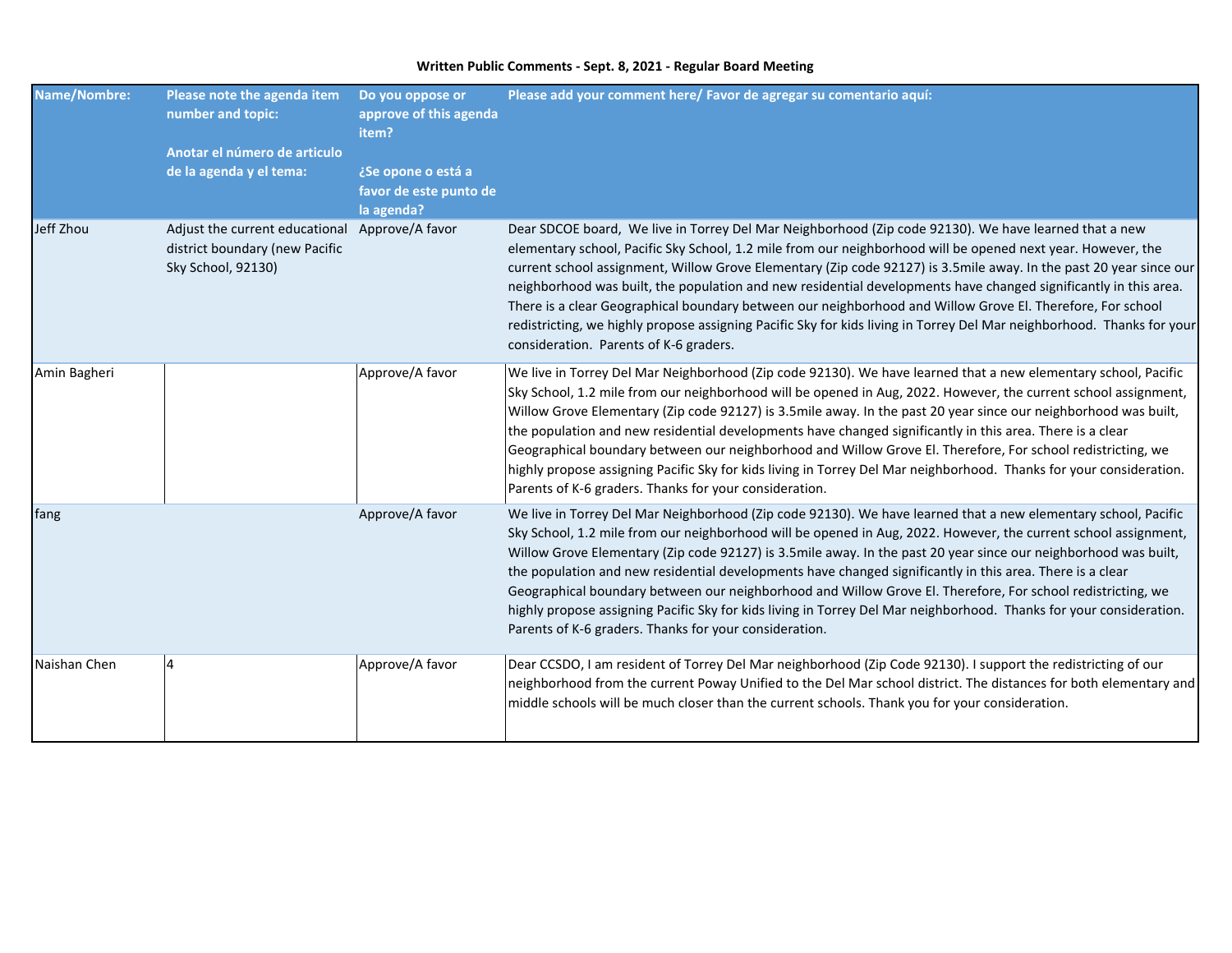| <b>Name/Nombre:</b> | Please note the agenda item<br>number and topic:                                       | Do you oppose or<br>approve of this agenda<br>item?        | Please add your comment here/ Favor de agregar su comentario aquí:                                                                                                                                                                                                                                                                                                                                                                                                                                                                                                                                                                                                                                                                                                |
|---------------------|----------------------------------------------------------------------------------------|------------------------------------------------------------|-------------------------------------------------------------------------------------------------------------------------------------------------------------------------------------------------------------------------------------------------------------------------------------------------------------------------------------------------------------------------------------------------------------------------------------------------------------------------------------------------------------------------------------------------------------------------------------------------------------------------------------------------------------------------------------------------------------------------------------------------------------------|
|                     | Anotar el número de articulo<br>de la agenda y el tema:                                | ¿Se opone o está a<br>favor de este punto de<br>la agenda? |                                                                                                                                                                                                                                                                                                                                                                                                                                                                                                                                                                                                                                                                                                                                                                   |
| Jeff Zhou           | Adjust the current educational<br>district boundary (new Pacific<br>Sky School, 92130) | Approve/A favor                                            | Dear SDCOE board, We live in Torrey Del Mar Neighborhood (Zip code 92130). We have learned that a new<br>elementary school, Pacific Sky School, 1.2 mile from our neighborhood will be opened next year. However, the<br>current school assignment, Willow Grove Elementary (Zip code 92127) is 3.5mile away. In the past 20 year since our<br>neighborhood was built, the population and new residential developments have changed significantly in this area.<br>There is a clear Geographical boundary between our neighborhood and Willow Grove El. Therefore, For school<br>redistricting, we highly propose assigning Pacific Sky for kids living in Torrey Del Mar neighborhood. Thanks for your<br>consideration. Parents of K-6 graders.                 |
| Amin Bagheri        |                                                                                        | Approve/A favor                                            | We live in Torrey Del Mar Neighborhood (Zip code 92130). We have learned that a new elementary school, Pacific<br>Sky School, 1.2 mile from our neighborhood will be opened in Aug, 2022. However, the current school assignment,<br>Willow Grove Elementary (Zip code 92127) is 3.5mile away. In the past 20 year since our neighborhood was built,<br>the population and new residential developments have changed significantly in this area. There is a clear<br>Geographical boundary between our neighborhood and Willow Grove El. Therefore, For school redistricting, we<br>highly propose assigning Pacific Sky for kids living in Torrey Del Mar neighborhood. Thanks for your consideration.<br>Parents of K-6 graders. Thanks for your consideration. |
| fang                |                                                                                        | Approve/A favor                                            | We live in Torrey Del Mar Neighborhood (Zip code 92130). We have learned that a new elementary school, Pacific<br>Sky School, 1.2 mile from our neighborhood will be opened in Aug, 2022. However, the current school assignment,<br>Willow Grove Elementary (Zip code 92127) is 3.5mile away. In the past 20 year since our neighborhood was built,<br>the population and new residential developments have changed significantly in this area. There is a clear<br>Geographical boundary between our neighborhood and Willow Grove El. Therefore, For school redistricting, we<br>highly propose assigning Pacific Sky for kids living in Torrey Del Mar neighborhood. Thanks for your consideration.<br>Parents of K-6 graders. Thanks for your consideration. |
| Naishan Chen        | $\overline{4}$                                                                         | Approve/A favor                                            | Dear CCSDO, I am resident of Torrey Del Mar neighborhood (Zip Code 92130). I support the redistricting of our<br>neighborhood from the current Poway Unified to the Del Mar school district. The distances for both elementary and<br>middle schools will be much closer than the current schools. Thank you for your consideration.                                                                                                                                                                                                                                                                                                                                                                                                                              |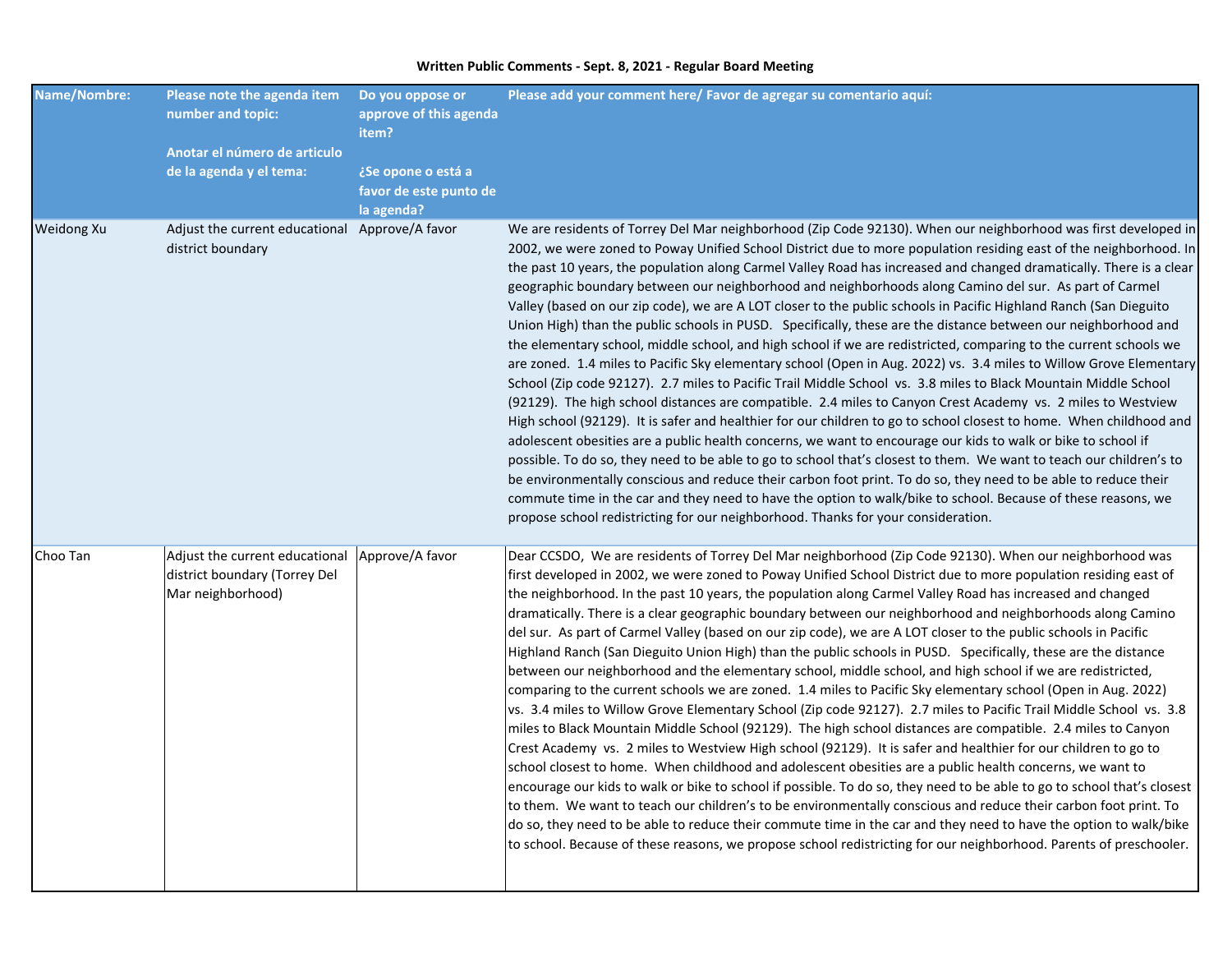| <b>Name/Nombre:</b> | Please note the agenda item<br>number and topic:<br>Anotar el número de articulo     | Do you oppose or<br>approve of this agenda<br>item?        | Please add your comment here/ Favor de agregar su comentario aquí:                                                                                                                                                                                                                                                                                                                                                                                                                                                                                                                                                                                                                                                                                                                                                                                                                                                                                                                                                                                                                                                                                                                                                                                                                                                                                                                                                                                                                                                                                                                                                                                                                                                                                                                                                                                                                     |
|---------------------|--------------------------------------------------------------------------------------|------------------------------------------------------------|----------------------------------------------------------------------------------------------------------------------------------------------------------------------------------------------------------------------------------------------------------------------------------------------------------------------------------------------------------------------------------------------------------------------------------------------------------------------------------------------------------------------------------------------------------------------------------------------------------------------------------------------------------------------------------------------------------------------------------------------------------------------------------------------------------------------------------------------------------------------------------------------------------------------------------------------------------------------------------------------------------------------------------------------------------------------------------------------------------------------------------------------------------------------------------------------------------------------------------------------------------------------------------------------------------------------------------------------------------------------------------------------------------------------------------------------------------------------------------------------------------------------------------------------------------------------------------------------------------------------------------------------------------------------------------------------------------------------------------------------------------------------------------------------------------------------------------------------------------------------------------------|
|                     | de la agenda y el tema:                                                              | ¿Se opone o está a<br>favor de este punto de<br>la agenda? |                                                                                                                                                                                                                                                                                                                                                                                                                                                                                                                                                                                                                                                                                                                                                                                                                                                                                                                                                                                                                                                                                                                                                                                                                                                                                                                                                                                                                                                                                                                                                                                                                                                                                                                                                                                                                                                                                        |
| Weidong Xu          | Adjust the current educational Approve/A favor<br>district boundary                  |                                                            | We are residents of Torrey Del Mar neighborhood (Zip Code 92130). When our neighborhood was first developed in<br>2002, we were zoned to Poway Unified School District due to more population residing east of the neighborhood. In<br>the past 10 years, the population along Carmel Valley Road has increased and changed dramatically. There is a clear<br>geographic boundary between our neighborhood and neighborhoods along Camino del sur. As part of Carmel<br>Valley (based on our zip code), we are A LOT closer to the public schools in Pacific Highland Ranch (San Dieguito<br>Union High) than the public schools in PUSD. Specifically, these are the distance between our neighborhood and<br>the elementary school, middle school, and high school if we are redistricted, comparing to the current schools we<br>are zoned. 1.4 miles to Pacific Sky elementary school (Open in Aug. 2022) vs. 3.4 miles to Willow Grove Elementary<br>School (Zip code 92127). 2.7 miles to Pacific Trail Middle School vs. 3.8 miles to Black Mountain Middle School<br>(92129). The high school distances are compatible. 2.4 miles to Canyon Crest Academy vs. 2 miles to Westview<br>High school (92129). It is safer and healthier for our children to go to school closest to home. When childhood and<br>adolescent obesities are a public health concerns, we want to encourage our kids to walk or bike to school if<br>possible. To do so, they need to be able to go to school that's closest to them. We want to teach our children's to<br>be environmentally conscious and reduce their carbon foot print. To do so, they need to be able to reduce their<br>commute time in the car and they need to have the option to walk/bike to school. Because of these reasons, we<br>propose school redistricting for our neighborhood. Thanks for your consideration.      |
| Choo Tan            | Adjust the current educational<br>district boundary (Torrey Del<br>Mar neighborhood) | Approve/A favor                                            | Dear CCSDO, We are residents of Torrey Del Mar neighborhood (Zip Code 92130). When our neighborhood was<br>first developed in 2002, we were zoned to Poway Unified School District due to more population residing east of<br>the neighborhood. In the past 10 years, the population along Carmel Valley Road has increased and changed<br>dramatically. There is a clear geographic boundary between our neighborhood and neighborhoods along Camino<br>del sur. As part of Carmel Valley (based on our zip code), we are A LOT closer to the public schools in Pacific<br>Highland Ranch (San Dieguito Union High) than the public schools in PUSD. Specifically, these are the distance<br>between our neighborhood and the elementary school, middle school, and high school if we are redistricted,<br>comparing to the current schools we are zoned. 1.4 miles to Pacific Sky elementary school (Open in Aug. 2022)<br>vs. 3.4 miles to Willow Grove Elementary School (Zip code 92127). 2.7 miles to Pacific Trail Middle School vs. 3.8<br>miles to Black Mountain Middle School (92129). The high school distances are compatible. 2.4 miles to Canyon<br>Crest Academy vs. 2 miles to Westview High school (92129). It is safer and healthier for our children to go to<br>school closest to home. When childhood and adolescent obesities are a public health concerns, we want to<br>encourage our kids to walk or bike to school if possible. To do so, they need to be able to go to school that's closest<br>to them. We want to teach our children's to be environmentally conscious and reduce their carbon foot print. To<br>do so, they need to be able to reduce their commute time in the car and they need to have the option to walk/bike<br>to school. Because of these reasons, we propose school redistricting for our neighborhood. Parents of preschooler. |